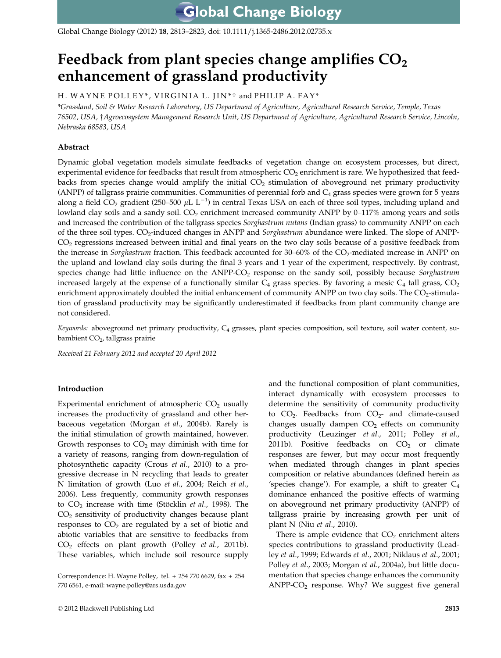Global Change Biology (2012) 18, 2813–2823, doi: 10.1111/j.1365-2486.2012.02735.x

# Feedback from plant species change amplifies  $CO<sub>2</sub>$ enhancement of grassland productivity

H. WAYNE POLLEY\*, VIRGINIA L. JIN\* † and PHILIP A. FAY\*

\*Grassland, Soil & Water Research Laboratory, US Department of Agriculture, Agricultural Research Service, Temple, Texas 76502, USA, †Agroecosystem Management Research Unit, US Department of Agriculture, Agricultural Research Service, Lincoln, Nebraska 68583, USA

# Abstract

Dynamic global vegetation models simulate feedbacks of vegetation change on ecosystem processes, but direct, experimental evidence for feedbacks that result from atmospheric  $CO<sub>2</sub>$  enrichment is rare. We hypothesized that feedbacks from species change would amplify the initial  $CO<sub>2</sub>$  stimulation of aboveground net primary productivity (ANPP) of tallgrass prairie communities. Communities of perennial forb and  $C_4$  grass species were grown for 5 years along a field CO<sub>2</sub> gradient (250–500  $\mu$ L L<sup>-1</sup>) in central Texas USA on each of three soil types, including upland and lowland clay soils and a sandy soil.  $CO<sub>2</sub>$  enrichment increased community ANPP by 0–117% among years and soils and increased the contribution of the tallgrass species Sorghastrum nutans (Indian grass) to community ANPP on each of the three soil types. CO<sub>2</sub>-induced changes in ANPP and *Sorghastrum* abundance were linked. The slope of ANPP- $CO<sub>2</sub>$  regressions increased between initial and final years on the two clay soils because of a positive feedback from the increase in Sorghastrum fraction. This feedback accounted for 30–60% of the CO<sub>2</sub>-mediated increase in ANPP on the upland and lowland clay soils during the final 3 years and 1 year of the experiment, respectively. By contrast, species change had little influence on the ANPP-CO<sub>2</sub> response on the sandy soil, possibly because Sorghastrum increased largely at the expense of a functionally similar  $C_4$  grass species. By favoring a mesic  $C_4$  tall grass,  $CO_2$ enrichment approximately doubled the initial enhancement of community ANPP on two clay soils. The CO<sub>2</sub>-stimulation of grassland productivity may be significantly underestimated if feedbacks from plant community change are not considered.

Keywords: aboveground net primary productivity,  $C_4$  grasses, plant species composition, soil texture, soil water content, subambient CO<sub>2</sub>, tallgrass prairie

Received 21 February 2012 and accepted 20 April 2012

## Introduction

Experimental enrichment of atmospheric  $CO<sub>2</sub>$  usually increases the productivity of grassland and other herbaceous vegetation (Morgan et al., 2004b). Rarely is the initial stimulation of growth maintained, however. Growth responses to  $CO<sub>2</sub>$  may diminish with time for a variety of reasons, ranging from down-regulation of photosynthetic capacity (Crous et al., 2010) to a progressive decrease in N recycling that leads to greater N limitation of growth (Luo et al., 2004; Reich et al., 2006). Less frequently, community growth responses to  $CO<sub>2</sub>$  increase with time (Stöcklin et al., 1998). The CO2 sensitivity of productivity changes because plant responses to  $CO<sub>2</sub>$  are regulated by a set of biotic and abiotic variables that are sensitive to feedbacks from  $CO<sub>2</sub>$  effects on plant growth (Polley *et al.*, 2011b). These variables, which include soil resource supply and the functional composition of plant communities, interact dynamically with ecosystem processes to determine the sensitivity of community productivity to  $CO<sub>2</sub>$ . Feedbacks from  $CO<sub>2</sub>$  and climate-caused changes usually dampen  $CO<sub>2</sub>$  effects on community productivity (Leuzinger et al., 2011; Polley et al., 2011b). Positive feedbacks on  $CO<sub>2</sub>$  or climate responses are fewer, but may occur most frequently when mediated through changes in plant species composition or relative abundances (defined herein as 'species change'). For example, a shift to greater  $C_4$ dominance enhanced the positive effects of warming on aboveground net primary productivity (ANPP) of tallgrass prairie by increasing growth per unit of plant N (Niu et al., 2010).

There is ample evidence that  $CO<sub>2</sub>$  enrichment alters species contributions to grassland productivity (Leadley et al., 1999; Edwards et al., 2001; Niklaus et al., 2001; Polley et al., 2003; Morgan et al., 2004a), but little documentation that species change enhances the community ANPP- $CO<sub>2</sub>$  response. Why? We suggest five general

Correspondence: H. Wayne Polley, tel. + 254 770 6629, fax + 254 770 6561, e-mail: wayne.polley@ars.usda.gov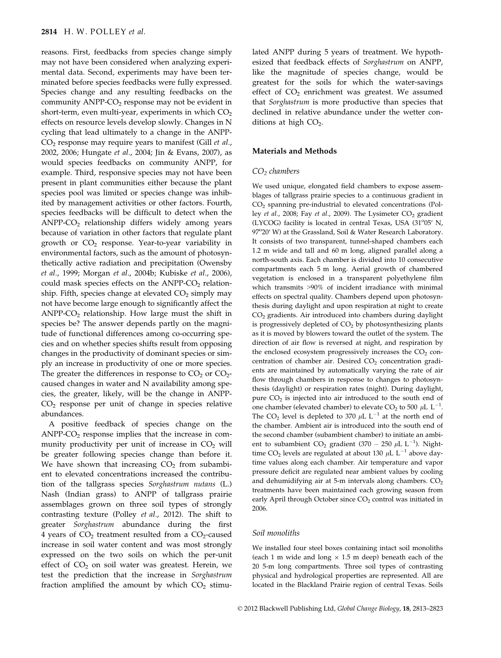reasons. First, feedbacks from species change simply may not have been considered when analyzing experimental data. Second, experiments may have been terminated before species feedbacks were fully expressed. Species change and any resulting feedbacks on the community  $\text{ANPP-CO}_2$  response may not be evident in short-term, even multi-year, experiments in which  $CO<sub>2</sub>$ effects on resource levels develop slowly. Changes in N cycling that lead ultimately to a change in the ANPP- $CO<sub>2</sub>$  response may require years to manifest (Gill *et al.*, 2002, 2006; Hungate et al., 2004; Jin & Evans, 2007), as would species feedbacks on community ANPP, for example. Third, responsive species may not have been present in plant communities either because the plant species pool was limited or species change was inhibited by management activities or other factors. Fourth, species feedbacks will be difficult to detect when the  $ANDP-CO<sub>2</sub>$  relationship differs widely among years because of variation in other factors that regulate plant growth or  $CO<sub>2</sub>$  response. Year-to-year variability in environmental factors, such as the amount of photosynthetically active radiation and precipitation (Owensby et al., 1999; Morgan et al., 2004b; Kubiske et al., 2006), could mask species effects on the ANPP- $CO<sub>2</sub>$  relationship. Fifth, species change at elevated  $CO<sub>2</sub>$  simply may not have become large enough to significantly affect the ANPP- $CO<sub>2</sub>$  relationship. How large must the shift in species be? The answer depends partly on the magnitude of functional differences among co-occurring species and on whether species shifts result from opposing changes in the productivity of dominant species or simply an increase in productivity of one or more species. The greater the differences in response to  $CO<sub>2</sub>$  or  $CO<sub>2</sub>$ caused changes in water and N availability among species, the greater, likely, will be the change in ANPP-CO2 response per unit of change in species relative abundances.

A positive feedback of species change on the  $ANDP-CO<sub>2</sub>$  response implies that the increase in community productivity per unit of increase in  $CO<sub>2</sub>$  will be greater following species change than before it. We have shown that increasing  $CO<sub>2</sub>$  from subambient to elevated concentrations increased the contribution of the tallgrass species Sorghastrum nutans (L.) Nash (Indian grass) to ANPP of tallgrass prairie assemblages grown on three soil types of strongly contrasting texture (Polley et al., 2012). The shift to greater Sorghastrum abundance during the first 4 years of  $CO<sub>2</sub>$  treatment resulted from a  $CO<sub>2</sub>$ -caused increase in soil water content and was most strongly expressed on the two soils on which the per-unit effect of  $CO<sub>2</sub>$  on soil water was greatest. Herein, we test the prediction that the increase in Sorghastrum fraction amplified the amount by which  $CO<sub>2</sub>$  stimulated ANPP during 5 years of treatment. We hypothesized that feedback effects of Sorghastrum on ANPP, like the magnitude of species change, would be greatest for the soils for which the water-savings effect of  $CO<sub>2</sub>$  enrichment was greatest. We assumed that Sorghastrum is more productive than species that declined in relative abundance under the wetter conditions at high  $CO<sub>2</sub>$ .

## Materials and Methods

#### $CO<sub>2</sub>$  chambers

We used unique, elongated field chambers to expose assemblages of tallgrass prairie species to a continuous gradient in CO2 spanning pre-industrial to elevated concentrations (Polley et al., 2008; Fay et al., 2009). The Lysimeter  $CO<sub>2</sub>$  gradient (LYCOG) facility is located in central Texas, USA (31°05' N, 97°20' W) at the Grassland, Soil & Water Research Laboratory. It consists of two transparent, tunnel-shaped chambers each 1.2 m wide and tall and 60 m long, aligned parallel along a north-south axis. Each chamber is divided into 10 consecutive compartments each 5 m long. Aerial growth of chambered vegetation is enclosed in a transparent polyethylene film which transmits >90% of incident irradiance with minimal effects on spectral quality. Chambers depend upon photosynthesis during daylight and upon respiration at night to create CO2 gradients. Air introduced into chambers during daylight is progressively depleted of  $CO<sub>2</sub>$  by photosynthesizing plants as it is moved by blowers toward the outlet of the system. The direction of air flow is reversed at night, and respiration by the enclosed ecosystem progressively increases the  $CO<sub>2</sub>$  concentration of chamber air. Desired  $CO<sub>2</sub>$  concentration gradients are maintained by automatically varying the rate of air flow through chambers in response to changes to photosynthesis (daylight) or respiration rates (night). During daylight, pure  $CO<sub>2</sub>$  is injected into air introduced to the south end of one chamber (elevated chamber) to elevate  $CO<sub>2</sub>$  to 500  $\mu$ L L<sup>-1</sup>. The CO<sub>2</sub> level is depleted to 370  $\mu$ L L<sup>-1</sup> at the north end of the chamber. Ambient air is introduced into the south end of the second chamber (subambient chamber) to initiate an ambient to subambient  $CO_2$  gradient (370 – 250  $\mu$ L L<sup>-1</sup>). Nighttime CO<sub>2</sub> levels are regulated at about 130  $\mu$ L L<sup>-1</sup> above daytime values along each chamber. Air temperature and vapor pressure deficit are regulated near ambient values by cooling and dehumidifying air at 5-m intervals along chambers.  $CO<sub>2</sub>$ treatments have been maintained each growing season from early April through October since CO<sub>2</sub> control was initiated in 2006.

#### Soil monoliths

We installed four steel boxes containing intact soil monoliths (each 1 m wide and long  $\times$  1.5 m deep) beneath each of the 20 5-m long compartments. Three soil types of contrasting physical and hydrological properties are represented. All are located in the Blackland Prairie region of central Texas. Soils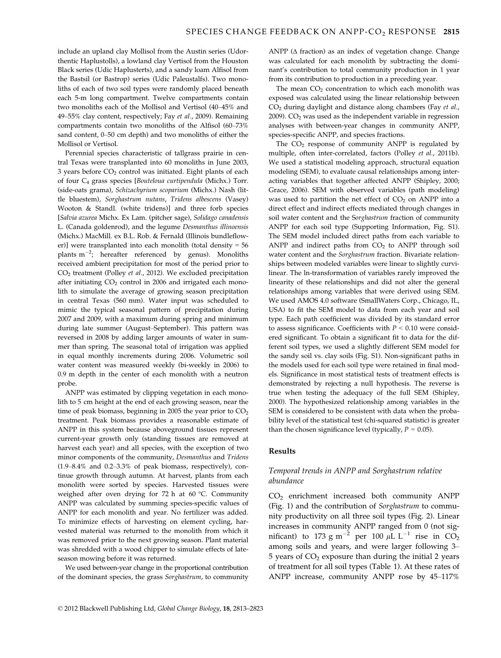include an upland clay Mollisol from the Austin series (Udorthentic Haplustolls), a lowland clay Vertisol from the Houston Black series (Udic Haplusterts), and a sandy loam Alfisol from the Bastsil (or Bastrop) series (Udic Paleustalfs). Two monoliths of each of two soil types were randomly placed beneath each 5-m long compartment. Twelve compartments contain two monoliths each of the Mollisol and Vertisol (40–45% and 49–55% clay content, respectively; Fay et al., 2009). Remaining compartments contain two monoliths of the Alfisol (60–73% sand content, 0–50 cm depth) and two monoliths of either the Mollisol or Vertisol.

Perennial species characteristic of tallgrass prairie in central Texas were transplanted into 60 monoliths in June 2003, 3 years before  $CO<sub>2</sub>$  control was initiated. Eight plants of each of four C<sub>4</sub> grass species [Bouteloua curtipendula (Michx.) Torr. (side-oats grama), Schizachyrium scoparium (Michx.) Nash (little bluestem), Sorghastrum nutans, Tridens albescens (Vasey) Wooton & Standl. (white tridens)] and three forb species [Salvia azurea Michx. Ex Lam. (pitcher sage), Solidago canadensis L. (Canada goldenrod), and the legume Desmanthus illinoensis (Michx.) MacMill. ex B.L. Rob. & Fernald (Illinois bundleflower)] were transplanted into each monolith (total density = 56 plants  $m^{-2}$ ; hereafter referenced by genus). Monoliths received ambient precipitation for most of the period prior to CO2 treatment (Polley et al., 2012). We excluded precipitation after initiating  $CO<sub>2</sub>$  control in 2006 and irrigated each monolith to simulate the average of growing season precipitation in central Texas (560 mm). Water input was scheduled to mimic the typical seasonal pattern of precipitation during 2007 and 2009, with a maximum during spring and minimum during late summer (August–September). This pattern was reversed in 2008 by adding larger amounts of water in summer than spring. The seasonal total of irrigation was applied in equal monthly increments during 2006. Volumetric soil water content was measured weekly (bi-weekly in 2006) to 0.9 m depth in the center of each monolith with a neutron probe.

ANPP was estimated by clipping vegetation in each monolith to 5 cm height at the end of each growing season, near the time of peak biomass, beginning in 2005 the year prior to  $CO<sub>2</sub>$ treatment. Peak biomass provides a reasonable estimate of ANPP in this system because aboveground tissues represent current-year growth only (standing tissues are removed at harvest each year) and all species, with the exception of two minor components of the community, Desmanthus and Tridens (1.9–8.4% and 0.2–3.3% of peak biomass, respectively), continue growth through autumn. At harvest, plants from each monolith were sorted by species. Harvested tissues were weighed after oven drying for 72 h at 60 °C. Community ANPP was calculated by summing species-specific values of ANPP for each monolith and year. No fertilizer was added. To minimize effects of harvesting on element cycling, harvested material was returned to the monolith from which it was removed prior to the next growing season. Plant material was shredded with a wood chipper to simulate effects of lateseason mowing before it was returned.

We used between-year change in the proportional contribution of the dominant species, the grass Sorghastrum, to community ANPP (Δ fraction) as an index of vegetation change. Change was calculated for each monolith by subtracting the dominant's contribution to total community production in 1 year from its contribution to production in a preceding year.

The mean  $CO<sub>2</sub>$  concentration to which each monolith was exposed was calculated using the linear relationship between  $CO<sub>2</sub>$  during daylight and distance along chambers (Fay et al.,  $2009$ ).  $CO<sub>2</sub>$  was used as the independent variable in regression analyses with between-year changes in community ANPP, species-specific ANPP, and species fractions.

The  $CO<sub>2</sub>$  response of community ANPP is regulated by multiple, often inter-correlated, factors (Polley et al., 2011b). We used a statistical modeling approach, structural equation modeling (SEM), to evaluate causal relationships among interacting variables that together affected ANPP (Shipley, 2000; Grace, 2006). SEM with observed variables (path modeling) was used to partition the net effect of  $CO<sub>2</sub>$  on ANPP into a direct effect and indirect effects mediated through changes in soil water content and the Sorghastrum fraction of community ANPP for each soil type (Supporting Information, Fig. S1). The SEM model included direct paths from each variable to ANPP and indirect paths from  $CO<sub>2</sub>$  to ANPP through soil water content and the Sorghastrum fraction. Bivariate relationships between modeled variables were linear to slightly curvilinear. The ln-transformation of variables rarely improved the linearity of these relationships and did not alter the general relationships among variables that were derived using SEM. We used AMOS 4.0 software (SmallWaters Corp., Chicago, IL, USA) to fit the SEM model to data from each year and soil type. Each path coefficient was divided by its standard error to assess significance. Coefficients with  $P < 0.10$  were considered significant. To obtain a significant fit to data for the different soil types, we used a slightly different SEM model for the sandy soil vs. clay soils (Fig. S1). Non-significant paths in the models used for each soil type were retained in final models. Significance in most statistical tests of treatment effects is demonstrated by rejecting a null hypothesis. The reverse is true when testing the adequacy of the full SEM (Shipley, 2000). The hypothesized relationship among variables in the SEM is considered to be consistent with data when the probability level of the statistical test (chi-squared statistic) is greater than the chosen significance level (typically,  $P = 0.05$ ).

## Results

## Temporal trends in ANPP and Sorghastrum relative abundance

CO2 enrichment increased both community ANPP (Fig. 1) and the contribution of Sorghastrum to community productivity on all three soil types (Fig. 2). Linear increases in community ANPP ranged from 0 (not significant) to 173 g m<sup>-2</sup> per 100  $\mu$ L L<sup>-1</sup> rise in CO<sub>2</sub> among soils and years, and were larger following 3–  $5$  years of  $CO<sub>2</sub>$  exposure than during the initial 2 years of treatment for all soil types (Table 1). At these rates of ANPP increase, community ANPP rose by 45–117%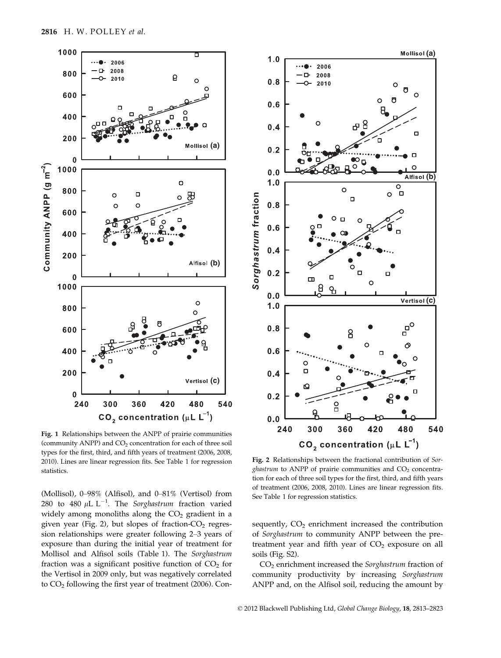

Fig. 1 Relationships between the ANPP of prairie communities (community ANPP) and  $CO<sub>2</sub>$  concentration for each of three soil types for the first, third, and fifth years of treatment (2006, 2008, 2010). Lines are linear regression fits. See Table 1 for regression statistics.

(Mollisol), 0–98% (Alfisol), and 0–81% (Vertisol) from 280 to 480  $\mu$ L L<sup>-1</sup>. The *Sorghastrum* fraction varied widely among monoliths along the  $CO<sub>2</sub>$  gradient in a given year (Fig. 2), but slopes of fraction- $CO<sub>2</sub>$  regression relationships were greater following 2–3 years of exposure than during the initial year of treatment for Mollisol and Alfisol soils (Table 1). The Sorghastrum fraction was a significant positive function of  $CO<sub>2</sub>$  for the Vertisol in 2009 only, but was negatively correlated to CO<sub>2</sub> following the first year of treatment (2006). Con-



Fig. 2 Relationships between the fractional contribution of Sorghastrum to ANPP of prairie communities and  $CO<sub>2</sub>$  concentration for each of three soil types for the first, third, and fifth years of treatment (2006, 2008, 2010). Lines are linear regression fits. See Table 1 for regression statistics.

sequently,  $CO<sub>2</sub>$  enrichment increased the contribution of Sorghastrum to community ANPP between the pretreatment year and fifth year of  $CO<sub>2</sub>$  exposure on all soils (Fig. S2).

CO<sub>2</sub> enrichment increased the Sorghastrum fraction of community productivity by increasing Sorghastrum ANPP and, on the Alfisol soil, reducing the amount by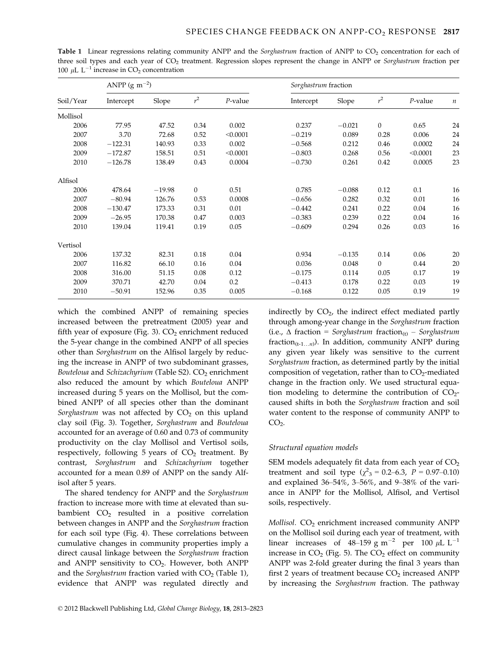| Soil/Year | ANPP (g m <sup><math>-2</math></sup> ) |          |              |            | Sorghastrum fraction |          |              |            |                  |
|-----------|----------------------------------------|----------|--------------|------------|----------------------|----------|--------------|------------|------------------|
|           | Intercept                              | Slope    | $r^2$        | $P$ -value | Intercept            | Slope    | $r^2$        | $P$ -value | $\boldsymbol{n}$ |
| Mollisol  |                                        |          |              |            |                      |          |              |            |                  |
| 2006      | 77.95                                  | 47.52    | 0.34         | 0.002      | 0.237                | $-0.021$ | $\mathbf{0}$ | 0.65       | 24               |
| 2007      | 3.70                                   | 72.68    | 0.52         | < 0.0001   | $-0.219$             | 0.089    | 0.28         | 0.006      | 24               |
| 2008      | $-122.31$                              | 140.93   | 0.33         | 0.002      | $-0.568$             | 0.212    | 0.46         | 0.0002     | 24               |
| 2009      | $-172.87$                              | 158.51   | 0.51         | < 0.0001   | $-0.803$             | 0.268    | 0.56         | < 0.0001   | 23               |
| 2010      | $-126.78$                              | 138.49   | 0.43         | 0.0004     | $-0.730$             | 0.261    | 0.42         | 0.0005     | 23               |
| Alfisol   |                                        |          |              |            |                      |          |              |            |                  |
| 2006      | 478.64                                 | $-19.98$ | $\mathbf{0}$ | 0.51       | 0.785                | $-0.088$ | 0.12         | 0.1        | 16               |
| 2007      | $-80.94$                               | 126.76   | 0.53         | 0.0008     | $-0.656$             | 0.282    | 0.32         | 0.01       | 16               |
| 2008      | $-130.47$                              | 173.33   | 0.31         | 0.01       | $-0.442$             | 0.241    | 0.22         | 0.04       | 16               |
| 2009      | $-26.95$                               | 170.38   | 0.47         | 0.003      | $-0.383$             | 0.239    | 0.22         | 0.04       | 16               |
| 2010      | 139.04                                 | 119.41   | 0.19         | 0.05       | $-0.609$             | 0.294    | 0.26         | 0.03       | 16               |
| Vertisol  |                                        |          |              |            |                      |          |              |            |                  |
| 2006      | 137.32                                 | 82.31    | 0.18         | 0.04       | 0.934                | $-0.135$ | 0.14         | 0.06       | 20               |
| 2007      | 116.82                                 | 66.10    | 0.16         | 0.04       | 0.036                | 0.048    | $\mathbf{0}$ | 0.44       | 20               |
| 2008      | 316.00                                 | 51.15    | 0.08         | 0.12       | $-0.175$             | 0.114    | 0.05         | 0.17       | 19               |
| 2009      | 370.71                                 | 42.70    | 0.04         | 0.2        | $-0.413$             | 0.178    | 0.22         | 0.03       | 19               |
| 2010      | $-50.91$                               | 152.96   | 0.35         | 0.005      | $-0.168$             | 0.122    | 0.05         | 0.19       | 19               |

Table 1 Linear regressions relating community ANPP and the *Sorghastrum* fraction of ANPP to  $CO<sub>2</sub>$  concentration for each of three soil types and each year of  $CO<sub>2</sub>$  treatment. Regression slopes represent the change in ANPP or *Sorghastrum* fraction per 100  $\mu$ L L<sup>-1</sup> increase in CO<sub>2</sub> concentration

which the combined ANPP of remaining species increased between the pretreatment (2005) year and fifth year of exposure (Fig. 3).  $CO<sub>2</sub>$  enrichment reduced the 5-year change in the combined ANPP of all species other than Sorghastrum on the Alfisol largely by reducing the increase in ANPP of two subdominant grasses, Bouteloua and Schizachyrium (Table S2).  $CO<sub>2</sub>$  enrichment also reduced the amount by which Bouteloua ANPP increased during 5 years on the Mollisol, but the combined ANPP of all species other than the dominant Sorghastrum was not affected by  $CO<sub>2</sub>$  on this upland clay soil (Fig. 3). Together, Sorghastrum and Bouteloua accounted for an average of 0.60 and 0.73 of community productivity on the clay Mollisol and Vertisol soils, respectively, following 5 years of  $CO<sub>2</sub>$  treatment. By contrast, Sorghastrum and Schizachyrium together accounted for a mean 0.89 of ANPP on the sandy Alfisol after 5 years.

The shared tendency for ANPP and the Sorghastrum fraction to increase more with time at elevated than subambient  $CO<sub>2</sub>$  resulted in a positive correlation between changes in ANPP and the Sorghastrum fraction for each soil type (Fig. 4). These correlations between cumulative changes in community properties imply a direct causal linkage between the Sorghastrum fraction and ANPP sensitivity to  $CO<sub>2</sub>$ . However, both ANPP and the Sorghastrum fraction varied with  $CO<sub>2</sub>$  (Table 1), evidence that ANPP was regulated directly and indirectly by  $CO<sub>2</sub>$ , the indirect effect mediated partly through among-year change in the Sorghastrum fraction (i.e.,  $\Delta$  fraction = Sorghastrum fraction<sub>(t)</sub> – Sorghastrum fraction<sub>(t-1…n</sub>). In addition, community ANPP during any given year likely was sensitive to the current Sorghastrum fraction, as determined partly by the initial composition of vegetation, rather than to  $CO<sub>2</sub>$ -mediated change in the fraction only. We used structural equation modeling to determine the contribution of  $CO<sub>2</sub>$ caused shifts in both the Sorghastrum fraction and soil water content to the response of community ANPP to  $CO<sub>2</sub>$ .

## Structural equation models

SEM models adequately fit data from each year of  $CO<sub>2</sub>$ treatment and soil type ( $\chi^2$ <sub>3</sub> = 0.2–6.3, P = 0.97–0.10) and explained 36–54%, 3–56%, and 9–38% of the variance in ANPP for the Mollisol, Alfisol, and Vertisol soils, respectively.

 $Mollisol. CO<sub>2</sub>$  enrichment increased community  $ANPP$ on the Mollisol soil during each year of treatment, with linear increases of 48–159 g m<sup>-2</sup> per 100  $\mu$ L L<sup>-1</sup> increase in  $CO<sub>2</sub>$  (Fig. 5). The  $CO<sub>2</sub>$  effect on community ANPP was 2-fold greater during the final 3 years than first 2 years of treatment because  $CO<sub>2</sub>$  increased ANPP by increasing the Sorghastrum fraction. The pathway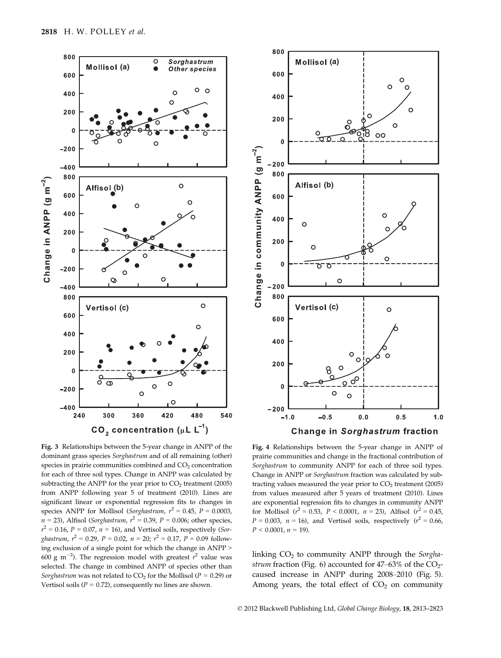

Fig. 3 Relationships between the 5-year change in ANPP of the dominant grass species Sorghastrum and of all remaining (other) species in prairie communities combined and  $CO<sub>2</sub>$  concentration for each of three soil types. Change in ANPP was calculated by subtracting the ANPP for the year prior to  $CO<sub>2</sub>$  treatment (2005) from ANPP following year 5 of treatment (2010). Lines are significant linear or exponential regression fits to changes in species ANPP for Mollisol (Sorghastrum,  $r^2 = 0.45$ ,  $P = 0.0003$ ,  $n = 23$ ), Alfisol (*Sorghastrum*,  $r^2 = 0.39$ ,  $P = 0.006$ ; other species,  $r^2 = 0.16$ ,  $P = 0.07$ ,  $n = 16$ ), and Vertisol soils, respectively (Sorghastrum,  $r^2 = 0.29$ ,  $P = 0.02$ ,  $n = 20$ ;  $r^2 = 0.17$ ,  $P = 0.09$  following exclusion of a single point for which the change in ANPP > 600 g m<sup>-2</sup>). The regression model with greatest  $r^2$  value was selected. The change in combined ANPP of species other than Sorghastrum was not related to  $CO<sub>2</sub>$  for the Mollisol ( $P = 0.29$ ) or Vertisol soils ( $P = 0.72$ ), consequently no lines are shown.



Fig. 4 Relationships between the 5-year change in ANPP of prairie communities and change in the fractional contribution of Sorghastrum to community ANPP for each of three soil types. Change in ANPP or Sorghastrum fraction was calculated by subtracting values measured the year prior to  $CO<sub>2</sub>$  treatment (2005) from values measured after 5 years of treatment (2010). Lines are exponential regression fits to changes in community ANPP for Mollisol ( $r^2 = 0.53$ ,  $P < 0.0001$ ,  $n = 23$ ), Alfisol ( $r^2 = 0.45$ )  $P = 0.003$ ,  $n = 16$ ), and Vertisol soils, respectively ( $r^2 = 0.66$ )  $P < 0.0001$ ,  $n = 19$ ).

linking  $CO<sub>2</sub>$  to community ANPP through the *Sorgha*strum fraction (Fig. 6) accounted for  $47-63\%$  of the CO<sub>2</sub>caused increase in ANPP during 2008–2010 (Fig. 5). Among years, the total effect of  $CO<sub>2</sub>$  on community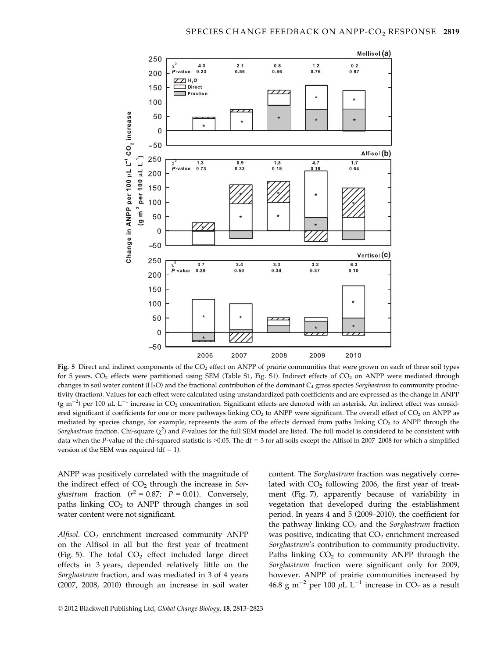

Fig. 5 Direct and indirect components of the  $CO<sub>2</sub>$  effect on ANPP of prairie communities that were grown on each of three soil types for 5 years.  $CO<sub>2</sub>$  effects were partitioned using SEM (Table S1, Fig. S1). Indirect effects of  $CO<sub>2</sub>$  on ANPP were mediated through changes in soil water content (H<sub>2</sub>O) and the fractional contribution of the dominant  $C_4$  grass species *Sorghastrum* to community productivity (fraction). Values for each effect were calculated using unstandardized path coefficients and are expressed as the change in ANPP (g m<sup>-2</sup>) per 100 µL L<sup>-1</sup> increase in CO<sub>2</sub> concentration. Significant effects are denoted with an asterisk. An indirect effect was considered significant if coefficients for one or more pathways linking  $CO<sub>2</sub>$  to ANPP were significant. The overall effect of  $CO<sub>2</sub>$  on ANPP as mediated by species change, for example, represents the sum of the effects derived from paths linking CO<sub>2</sub> to ANPP through the Sorghastrum fraction. Chi-square  $(\chi^2)$  and P-values for the full SEM model are listed. The full model is considered to be consistent with data when the P-value of the chi-squared statistic is  $>0.05$ . The df = 3 for all soils except the Alfisol in 2007–2008 for which a simplified version of the SEM was required (df  $= 1$ ).

ANPP was positively correlated with the magnitude of the indirect effect of  $CO<sub>2</sub>$  through the increase in Sor*ghastrum* fraction ( $r^2 = 0.87$ ;  $P = 0.01$ ). Conversely, paths linking  $CO<sub>2</sub>$  to ANPP through changes in soil water content were not significant.

Alfisol.  $CO<sub>2</sub>$  enrichment increased community ANPP on the Alfisol in all but the first year of treatment (Fig. 5). The total  $CO<sub>2</sub>$  effect included large direct effects in 3 years, depended relatively little on the Sorghastrum fraction, and was mediated in 3 of 4 years (2007, 2008, 2010) through an increase in soil water content. The Sorghastrum fraction was negatively correlated with  $CO<sub>2</sub>$  following 2006, the first year of treatment (Fig. 7), apparently because of variability in vegetation that developed during the establishment period. In years 4 and 5 (2009–2010), the coefficient for the pathway linking  $CO<sub>2</sub>$  and the Sorghastrum fraction was positive, indicating that  $CO<sub>2</sub>$  enrichment increased Sorghastrum's contribution to community productivity. Paths linking  $CO<sub>2</sub>$  to community ANPP through the Sorghastrum fraction were significant only for 2009, however. ANPP of prairie communities increased by 46.8 g m<sup>-2</sup> per 100  $\mu$ L L<sup>-1</sup> increase in CO<sub>2</sub> as a result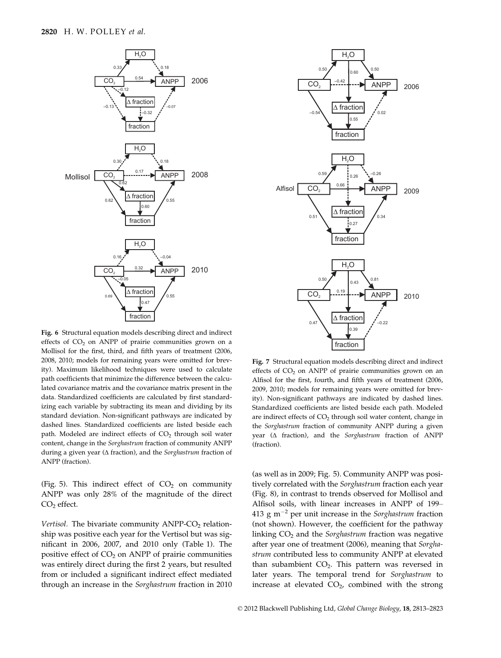

Fig. 6 Structural equation models describing direct and indirect effects of  $CO<sub>2</sub>$  on ANPP of prairie communities grown on a Mollisol for the first, third, and fifth years of treatment (2006, 2008, 2010; models for remaining years were omitted for brevity). Maximum likelihood techniques were used to calculate path coefficients that minimize the difference between the calculated covariance matrix and the covariance matrix present in the data. Standardized coefficients are calculated by first standardizing each variable by subtracting its mean and dividing by its standard deviation. Non-significant pathways are indicated by dashed lines. Standardized coefficients are listed beside each path. Modeled are indirect effects of  $CO<sub>2</sub>$  through soil water content, change in the Sorghastrum fraction of community ANPP during a given year (Δ fraction), and the Sorghastrum fraction of ANPP (fraction).

(Fig. 5). This indirect effect of  $CO<sub>2</sub>$  on community ANPP was only 28% of the magnitude of the direct  $CO<sub>2</sub>$  effect.

Vertisol. The bivariate community  $ANDP-CO<sub>2</sub>$  relationship was positive each year for the Vertisol but was significant in 2006, 2007, and 2010 only (Table 1). The positive effect of  $CO<sub>2</sub>$  on ANPP of prairie communities was entirely direct during the first 2 years, but resulted from or included a significant indirect effect mediated through an increase in the Sorghastrum fraction in 2010



Fig. 7 Structural equation models describing direct and indirect effects of  $CO<sub>2</sub>$  on ANPP of prairie communities grown on an Alfisol for the first, fourth, and fifth years of treatment (2006, 2009, 2010; models for remaining years were omitted for brevity). Non-significant pathways are indicated by dashed lines. Standardized coefficients are listed beside each path. Modeled are indirect effects of CO<sub>2</sub> through soil water content, change in the Sorghastrum fraction of community ANPP during a given year (Δ fraction), and the Sorghastrum fraction of ANPP (fraction).

(as well as in 2009; Fig. 5). Community ANPP was positively correlated with the Sorghastrum fraction each year (Fig. 8), in contrast to trends observed for Mollisol and Alfisol soils, with linear increases in ANPP of 199– 413 g m<sup> $-2$ </sup> per unit increase in the *Sorghastrum* fraction (not shown). However, the coefficient for the pathway linking  $CO<sub>2</sub>$  and the Sorghastrum fraction was negative after year one of treatment (2006), meaning that Sorghastrum contributed less to community ANPP at elevated than subambient  $CO<sub>2</sub>$ . This pattern was reversed in later years. The temporal trend for Sorghastrum to increase at elevated  $CO<sub>2</sub>$ , combined with the strong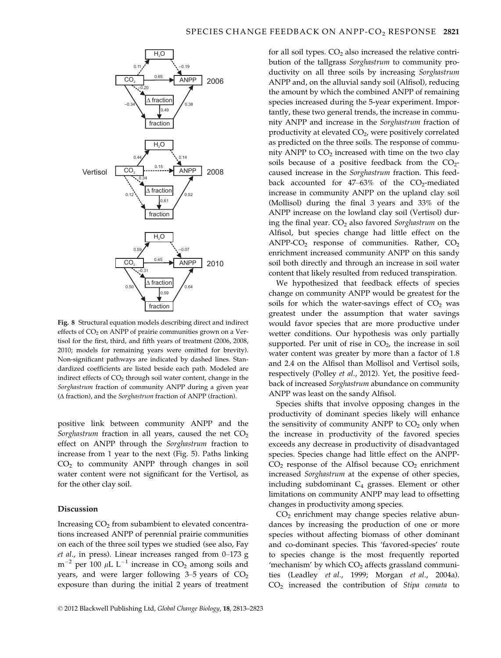

Fig. 8 Structural equation models describing direct and indirect effects of  $CO<sub>2</sub>$  on ANPP of prairie communities grown on a Vertisol for the first, third, and fifth years of treatment (2006, 2008, 2010; models for remaining years were omitted for brevity). Non-significant pathways are indicated by dashed lines. Standardized coefficients are listed beside each path. Modeled are indirect effects of  $CO<sub>2</sub>$  through soil water content, change in the Sorghastrum fraction of community ANPP during a given year (Δ fraction), and the Sorghastrum fraction of ANPP (fraction).

positive link between community ANPP and the Sorghastrum fraction in all years, caused the net  $CO<sub>2</sub>$ effect on ANPP through the Sorghastrum fraction to increase from 1 year to the next (Fig. 5). Paths linking  $CO<sub>2</sub>$  to community ANPP through changes in soil water content were not significant for the Vertisol, as for the other clay soil.

## Discussion

Increasing  $CO<sub>2</sub>$  from subambient to elevated concentrations increased ANPP of perennial prairie communities on each of the three soil types we studied (see also, Fay et al., in press). Linear increases ranged from 0–173 g  $m^{-2}$  per 100 µL L<sup>-1</sup> increase in CO<sub>2</sub> among soils and years, and were larger following  $3-5$  years of  $CO<sub>2</sub>$ exposure than during the initial 2 years of treatment for all soil types.  $CO<sub>2</sub>$  also increased the relative contribution of the tallgrass Sorghastrum to community productivity on all three soils by increasing Sorghastrum ANPP and, on the alluvial sandy soil (Alfisol), reducing the amount by which the combined ANPP of remaining species increased during the 5-year experiment. Importantly, these two general trends, the increase in community ANPP and increase in the Sorghastrum fraction of productivity at elevated  $CO<sub>2</sub>$ , were positively correlated as predicted on the three soils. The response of community ANPP to  $CO<sub>2</sub>$  increased with time on the two clay soils because of a positive feedback from the  $CO<sub>2</sub>$ caused increase in the Sorghastrum fraction. This feedback accounted for  $47-63\%$  of the CO<sub>2</sub>-mediated increase in community ANPP on the upland clay soil (Mollisol) during the final 3 years and 33% of the ANPP increase on the lowland clay soil (Vertisol) during the final year.  $CO<sub>2</sub>$  also favored Sorghastrum on the Alfisol, but species change had little effect on the ANPP- $CO<sub>2</sub>$  response of communities. Rather,  $CO<sub>2</sub>$ enrichment increased community ANPP on this sandy soil both directly and through an increase in soil water content that likely resulted from reduced transpiration.

We hypothesized that feedback effects of species change on community ANPP would be greatest for the soils for which the water-savings effect of  $CO<sub>2</sub>$  was greatest under the assumption that water savings would favor species that are more productive under wetter conditions. Our hypothesis was only partially supported. Per unit of rise in  $CO<sub>2</sub>$ , the increase in soil water content was greater by more than a factor of 1.8 and 2.4 on the Alfisol than Mollisol and Vertisol soils, respectively (Polley et al., 2012). Yet, the positive feedback of increased Sorghastrum abundance on community ANPP was least on the sandy Alfisol.

Species shifts that involve opposing changes in the productivity of dominant species likely will enhance the sensitivity of community ANPP to  $CO<sub>2</sub>$  only when the increase in productivity of the favored species exceeds any decrease in productivity of disadvantaged species. Species change had little effect on the ANPP- $CO<sub>2</sub>$  response of the Alfisol because  $CO<sub>2</sub>$  enrichment increased Sorghastrum at the expense of other species, including subdominant  $C_4$  grasses. Element or other limitations on community ANPP may lead to offsetting changes in productivity among species.

CO2 enrichment may change species relative abundances by increasing the production of one or more species without affecting biomass of other dominant and co-dominant species. This 'favored-species' route to species change is the most frequently reported 'mechanism' by which  $CO<sub>2</sub>$  affects grassland communities (Leadley et al., 1999; Morgan et al., 2004a).  $CO<sub>2</sub>$  increased the contribution of Stipa comata to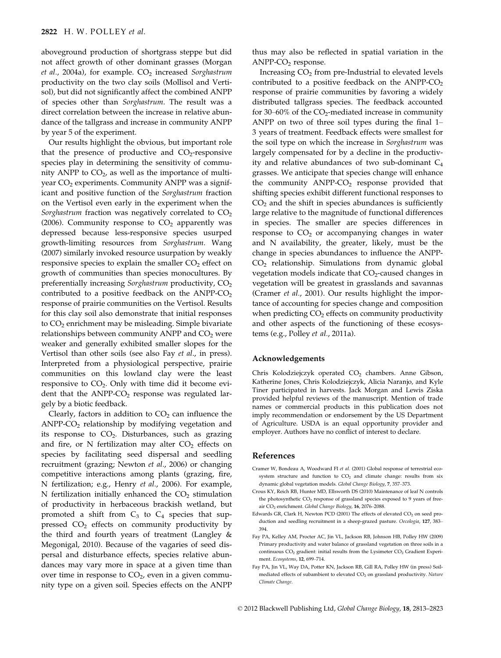aboveground production of shortgrass steppe but did not affect growth of other dominant grasses (Morgan et al., 2004a), for example.  $CO<sub>2</sub>$  increased Sorghastrum productivity on the two clay soils (Mollisol and Vertisol), but did not significantly affect the combined ANPP of species other than Sorghastrum. The result was a direct correlation between the increase in relative abundance of the tallgrass and increase in community ANPP by year 5 of the experiment.

Our results highlight the obvious, but important role that the presence of productive and  $CO<sub>2</sub>$ -responsive species play in determining the sensitivity of community ANPP to  $CO<sub>2</sub>$ , as well as the importance of multiyear  $CO<sub>2</sub>$  experiments. Community ANPP was a significant and positive function of the Sorghastrum fraction on the Vertisol even early in the experiment when the Sorghastrum fraction was negatively correlated to  $CO<sub>2</sub>$ (2006). Community response to  $CO<sub>2</sub>$  apparently was depressed because less-responsive species usurped growth-limiting resources from Sorghastrum. Wang (2007) similarly invoked resource usurpation by weakly responsive species to explain the smaller  $CO<sub>2</sub>$  effect on growth of communities than species monocultures. By preferentially increasing Sorghastrum productivity,  $CO<sub>2</sub>$ contributed to a positive feedback on the  $ANPP-CO<sub>2</sub>$ response of prairie communities on the Vertisol. Results for this clay soil also demonstrate that initial responses to CO<sub>2</sub> enrichment may be misleading. Simple bivariate relationships between community ANPP and  $CO<sub>2</sub>$  were weaker and generally exhibited smaller slopes for the Vertisol than other soils (see also Fay et al., in press). Interpreted from a physiological perspective, prairie communities on this lowland clay were the least responsive to  $CO<sub>2</sub>$ . Only with time did it become evident that the  $ANPP-CO<sub>2</sub>$  response was regulated largely by a biotic feedback.

Clearly, factors in addition to  $CO<sub>2</sub>$  can influence the ANPP- $CO<sub>2</sub>$  relationship by modifying vegetation and its response to  $CO<sub>2</sub>$ . Disturbances, such as grazing and fire, or N fertilization may alter  $CO<sub>2</sub>$  effects on species by facilitating seed dispersal and seedling recruitment (grazing; Newton et al., 2006) or changing competitive interactions among plants (grazing, fire, N fertilization; e.g., Henry et al., 2006). For example, N fertilization initially enhanced the  $CO<sub>2</sub>$  stimulation of productivity in herbaceous brackish wetland, but promoted a shift from  $C_3$  to  $C_4$  species that suppressed CO<sub>2</sub> effects on community productivity by the third and fourth years of treatment (Langley & Megonigal, 2010). Because of the vagaries of seed dispersal and disturbance effects, species relative abundances may vary more in space at a given time than over time in response to  $CO<sub>2</sub>$ , even in a given community type on a given soil. Species effects on the ANPP thus may also be reflected in spatial variation in the  $ANDP-CO<sub>2</sub>$  response.

Increasing  $CO<sub>2</sub>$  from pre-Industrial to elevated levels contributed to a positive feedback on the ANPP- $CO<sub>2</sub>$ response of prairie communities by favoring a widely distributed tallgrass species. The feedback accounted for 30–60% of the  $CO<sub>2</sub>$ -mediated increase in community ANPP on two of three soil types during the final 1– 3 years of treatment. Feedback effects were smallest for the soil type on which the increase in Sorghastrum was largely compensated for by a decline in the productivity and relative abundances of two sub-dominant  $C_4$ grasses. We anticipate that species change will enhance the community  $ANPP-CO<sub>2</sub>$  response provided that shifting species exhibit different functional responses to  $CO<sub>2</sub>$  and the shift in species abundances is sufficiently large relative to the magnitude of functional differences in species. The smaller are species differences in response to  $CO<sub>2</sub>$  or accompanying changes in water and N availability, the greater, likely, must be the change in species abundances to influence the ANPP-CO2 relationship. Simulations from dynamic global vegetation models indicate that  $CO<sub>2</sub>$ -caused changes in vegetation will be greatest in grasslands and savannas (Cramer et al., 2001). Our results highlight the importance of accounting for species change and composition when predicting  $CO<sub>2</sub>$  effects on community productivity and other aspects of the functioning of these ecosystems (e.g., Polley et al., 2011a).

### Acknowledgements

Chris Kolodziejczyk operated CO<sub>2</sub> chambers. Anne Gibson, Katherine Jones, Chris Kolodziejczyk, Alicia Naranjo, and Kyle Tiner participated in harvests. Jack Morgan and Lewis Ziska provided helpful reviews of the manuscript. Mention of trade names or commercial products in this publication does not imply recommendation or endorsement by the US Department of Agriculture. USDA is an equal opportunity provider and employer. Authors have no conflict of interest to declare.

#### References

- Cramer W, Bondeau A, Woodward FI et al. (2001) Global response of terrestrial ecosystem structure and function to  $CO<sub>2</sub>$  and climate change: results from six dynamic global vegetation models. Global Change Biology, 7, 357–373.
- Crous KY, Reich RB, Hunter MD, Ellsworth DS (2010) Maintenance of leaf N controls the photosynthetic  $CO<sub>2</sub>$  response of grassland species exposed to 9 years of freeair CO<sub>2</sub> enrichment. Global Change Biology, 16, 2076–2088.
- Edwards GR, Clark H, Newton PCD (2001) The effects of elevated  $CO<sub>2</sub>$  on seed production and seedling recruitment in a sheep-grazed pasture. Oecologia, 127, 383– 394.
- Fay PA, Kelley AM, Procter AC, Jin VL, Jackson RB, Johnson HB, Polley HW (2009) Primary productivity and water balance of grassland vegetation on three soils in a continuous  $CO<sub>2</sub>$  gradient: initial results from the Lysimeter  $CO<sub>2</sub>$  Gradient Experiment. Ecosystems, 12, 699–714.
- Fay PA, Jin VL, Way DA, Potter KN, Jackson RB, Gill RA, Polley HW (in press) Soilmediated effects of subambient to elevated  $CO<sub>2</sub>$  on grassland productivity. Nature Climate Change.